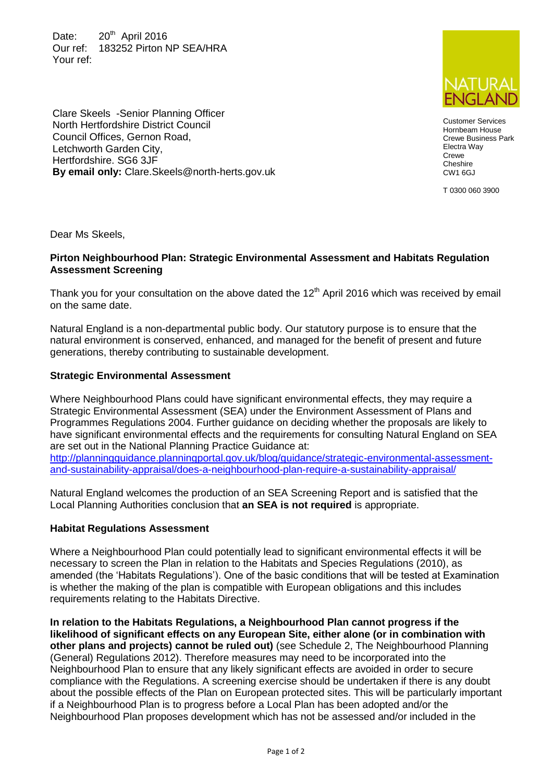Date:  $20^{th}$  April 2016 Our ref: 183252 Pirton NP SEA/HRA Your ref:

Clare Skeels -Senior Planning Officer North Hertfordshire District Council Council Offices, Gernon Road, Letchworth Garden City, Hertfordshire. SG6 3JF

**By email only:** Clare.Skeels@north-herts.gov.uk



Customer Services Hornbeam House Crewe Business Park Electra Way **Crewe Cheshire** CW1 6GJ

T 0300 060 3900

Dear Ms Skeels,

## **Pirton Neighbourhood Plan: Strategic Environmental Assessment and Habitats Regulation Assessment Screening**

Thank you for your consultation on the above dated the  $12<sup>th</sup>$  April 2016 which was received by email on the same date.

Natural England is a non-departmental public body. Our statutory purpose is to ensure that the natural environment is conserved, enhanced, and managed for the benefit of present and future generations, thereby contributing to sustainable development.

## **Strategic Environmental Assessment**

Where Neighbourhood Plans could have significant environmental effects, they may require a Strategic Environmental Assessment (SEA) under the Environment Assessment of Plans and Programmes Regulations 2004. Further guidance on deciding whether the proposals are likely to have significant environmental effects and the requirements for consulting Natural England on SEA are set out in the National Planning Practice Guidance at:

[http://planningguidance.planningportal.gov.uk/blog/guidance/strategic-environmental-assessment](http://planningguidance.planningportal.gov.uk/blog/guidance/strategic-environmental-assessment-and-sustainability-appraisal/does-a-neighbourhood-plan-require-a-sustainability-appraisal/)[and-sustainability-appraisal/does-a-neighbourhood-plan-require-a-sustainability-appraisal/](http://planningguidance.planningportal.gov.uk/blog/guidance/strategic-environmental-assessment-and-sustainability-appraisal/does-a-neighbourhood-plan-require-a-sustainability-appraisal/)

Natural England welcomes the production of an SEA Screening Report and is satisfied that the Local Planning Authorities conclusion that **an SEA is not required** is appropriate.

## **Habitat Regulations Assessment**

Where a Neighbourhood Plan could potentially lead to significant environmental effects it will be necessary to screen the Plan in relation to the Habitats and Species Regulations (2010), as amended (the 'Habitats Regulations'). One of the basic conditions that will be tested at Examination is whether the making of the plan is compatible with European obligations and this includes requirements relating to the Habitats Directive.

**In relation to the Habitats Regulations, a Neighbourhood Plan cannot progress if the likelihood of significant effects on any European Site, either alone (or in combination with other plans and projects) cannot be ruled out)** (see Schedule 2, The Neighbourhood Planning (General) Regulations 2012). Therefore measures may need to be incorporated into the Neighbourhood Plan to ensure that any likely significant effects are avoided in order to secure compliance with the Regulations. A screening exercise should be undertaken if there is any doubt about the possible effects of the Plan on European protected sites. This will be particularly important if a Neighbourhood Plan is to progress before a Local Plan has been adopted and/or the Neighbourhood Plan proposes development which has not be assessed and/or included in the